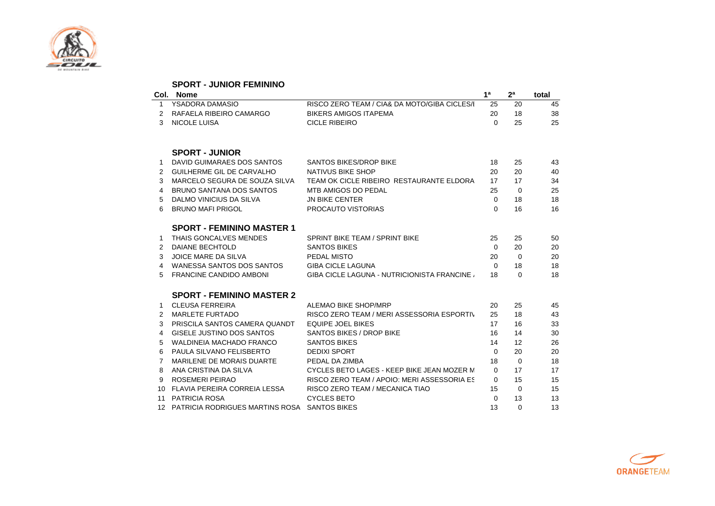

|    | <b>SPORT - JUNIOR FEMININO</b>     |                                              |                |                   |       |
|----|------------------------------------|----------------------------------------------|----------------|-------------------|-------|
|    | Col. Nome                          |                                              | 1 <sup>a</sup> | 2 <sup>a</sup>    | total |
| 1  | YSADORA DAMASIO                    | RISCO ZERO TEAM / CIA& DA MOTO/GIBA CICLES/I | 25             | 20                | 45    |
| 2  | RAFAELA RIBEIRO CAMARGO            | <b>BIKERS AMIGOS ITAPEMA</b>                 | 20             | 18                | 38    |
| 3  | <b>NICOLE LUISA</b>                | <b>CICLE RIBEIRO</b>                         | $\Omega$       | 25                | 25    |
|    | <b>SPORT - JUNIOR</b>              |                                              |                |                   |       |
| 1  | DAVID GUIMARAES DOS SANTOS         | <b>SANTOS BIKES/DROP BIKE</b>                | 18             | 25                | 43    |
| 2  | <b>GUILHERME GIL DE CARVALHO</b>   | NATIVUS BIKE SHOP                            | 20             | 20                | 40    |
| 3  | MARCELO SEGURA DE SOUZA SILVA      | TEAM OK CICLE RIBEIRO RESTAURANTE ELDORA     | 17             | 17                | 34    |
| 4  | <b>BRUNO SANTANA DOS SANTOS</b>    | MTB AMIGOS DO PEDAL                          | 25             | $\Omega$          | 25    |
| 5  | DALMO VINICIUS DA SILVA            | <b>JN BIKE CENTER</b>                        | $\Omega$       | 18                | 18    |
| 6  | <b>BRUNO MAFI PRIGOL</b>           | PROCAUTO VISTORIAS                           | 0              | 16                | 16    |
|    | <b>SPORT - FEMININO MASTER 1</b>   |                                              |                |                   |       |
| 1  | THAIS GONCALVES MENDES             | SPRINT BIKE TEAM / SPRINT BIKE               | 25             | 25                | 50    |
| 2  | <b>DAIANE BECHTOLD</b>             | <b>SANTOS BIKES</b>                          | $\Omega$       | 20                | 20    |
| 3  | JOICE MARE DA SILVA                | PEDAL MISTO                                  | 20             | $\Omega$          | 20    |
| 4  | WANESSA SANTOS DOS SANTOS          | <b>GIBA CICLE LAGUNA</b>                     | $\Omega$       | 18                | 18    |
| 5  | <b>FRANCINE CANDIDO AMBONI</b>     | GIBA CICLE LAGUNA - NUTRICIONISTA FRANCINE / | 18             | $\Omega$          | 18    |
|    | <b>SPORT - FEMININO MASTER 2</b>   |                                              |                |                   |       |
| 1  | <b>CLEUSA FERREIRA</b>             | ALEMAO BIKE SHOP/MRP                         | 20             | 25                | 45    |
| 2  | <b>MARLETE FURTADO</b>             | RISCO ZERO TEAM / MERI ASSESSORIA ESPORTIV   | 25             | 18                | 43    |
| 3  | PRISCILA SANTOS CAMERA QUANDT      | <b>EQUIPE JOEL BIKES</b>                     | 17             | 16                | 33    |
| 4  | GISELE JUSTINO DOS SANTOS          | SANTOS BIKES / DROP BIKE                     | 16             | 14                | 30    |
| 5  | <b>WALDINEIA MACHADO FRANCO</b>    | <b>SANTOS BIKES</b>                          | 14             | $12 \overline{ }$ | 26    |
| 6  | PAULA SILVANO FELISBERTO           | <b>DEDIXI SPORT</b>                          | $\Omega$       | 20                | 20    |
| 7  | MARILENE DE MORAIS DUARTE          | PEDAL DA ZIMBA                               | 18             | $\Omega$          | 18    |
| 8  | ANA CRISTINA DA SILVA              | CYCLES BETO LAGES - KEEP BIKE JEAN MOZER M   | $\Omega$       | 17                | 17    |
| 9  | <b>ROSEMERI PEIRAO</b>             | RISCO ZERO TEAM / APOIO: MERI ASSESSORIA ES  | $\Omega$       | 15                | 15    |
| 10 | FLAVIA PEREIRA CORREIA LESSA       | RISCO ZERO TEAM / MECANICA TIAO              | 15             | $\Omega$          | 15    |
| 11 | <b>PATRICIA ROSA</b>               | <b>CYCLES BETO</b>                           | $\Omega$       | 13                | 13    |
|    | 12 PATRICIA RODRIGUES MARTINS ROSA | <b>SANTOS BIKES</b>                          | 13             | $\Omega$          | 13    |

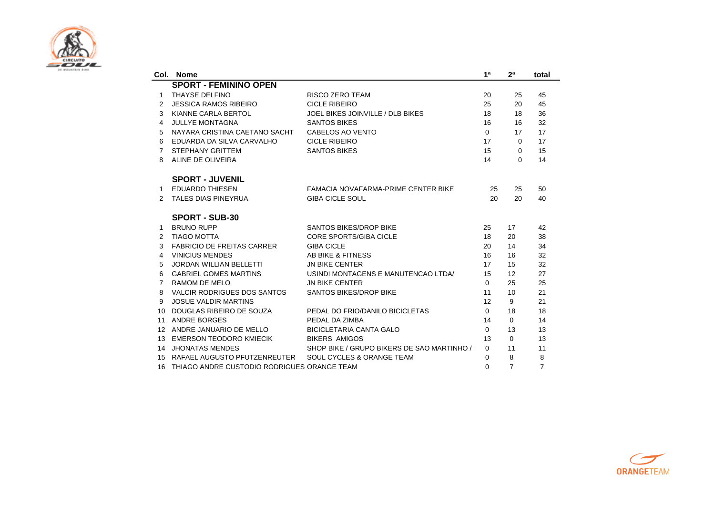

|                  | Col. Nome                                   |                                              | 1 <sup>a</sup> | 2 <sup>a</sup> | total          |
|------------------|---------------------------------------------|----------------------------------------------|----------------|----------------|----------------|
|                  | <b>SPORT - FEMININO OPEN</b>                |                                              |                |                |                |
| 1                | THAYSE DELFINO                              | <b>RISCO ZERO TEAM</b>                       | 20             | 25             | 45             |
| 2                | <b>JESSICA RAMOS RIBEIRO</b>                | <b>CICLE RIBEIRO</b>                         | 25             | 20             | 45             |
| 3                | KIANNE CARLA BERTOL                         | JOEL BIKES JOINVILLE / DLB BIKES             | 18             | 18             | 36             |
| 4                | <b>JULLYE MONTAGNA</b>                      | <b>SANTOS BIKES</b>                          | 16             | 16             | 32             |
| 5                | NAYARA CRISTINA CAETANO SACHT               | CABELOS AO VENTO                             | $\Omega$       | 17             | 17             |
| 6                | EDUARDA DA SILVA CARVALHO                   | <b>CICLE RIBEIRO</b>                         | 17             | $\Omega$       | 17             |
| 7                | <b>STEPHANY GRITTEM</b>                     | <b>SANTOS BIKES</b>                          | 15             | $\Omega$       | 15             |
| 8                | ALINE DE OLIVEIRA                           |                                              | 14             | $\Omega$       | 14             |
|                  | <b>SPORT - JUVENIL</b>                      |                                              |                |                |                |
| 1                | <b>EDUARDO THIESEN</b>                      | <b>FAMACIA NOVAFARMA-PRIME CENTER BIKE</b>   | 25             | 25             | 50             |
| $\mathcal{P}$    | <b>TALES DIAS PINEYRUA</b>                  | <b>GIBA CICLE SOUL</b>                       | 20             | 20             | 40             |
|                  | <b>SPORT - SUB-30</b>                       |                                              |                |                |                |
| 1                | <b>BRUNO RUPP</b>                           | <b>SANTOS BIKES/DROP BIKE</b>                | 25             | 17             | 42             |
| 2                | <b>TIAGO MOTTA</b>                          | <b>CORE SPORTS/GIBA CICLE</b>                | 18             | 20             | 38             |
| 3                | <b>FABRICIO DE FREITAS CARRER</b>           | <b>GIBA CICLE</b>                            | 20             | 14             | 34             |
| 4                | <b>VINICIUS MENDES</b>                      | AB BIKE & FITNESS                            | 16             | 16             | 32             |
| 5                | <b>JORDAN WILLIAN BELLETTI</b>              | <b>JN BIKE CENTER</b>                        | 17             | 15             | 32             |
| 6                | <b>GABRIEL GOMES MARTINS</b>                | USINDI MONTAGENS E MANUTENCAO LTDA/          | 15             | 12             | 27             |
| 7                | RAMOM DE MELO                               | <b>JN BIKE CENTER</b>                        | $\Omega$       | 25             | 25             |
| 8                | VALCIR RODRIGUES DOS SANTOS                 | <b>SANTOS BIKES/DROP BIKE</b>                | 11             | 10             | 21             |
| 9                | <b>JOSUE VALDIR MARTINS</b>                 |                                              | 12             | 9              | 21             |
| 10               | DOUGLAS RIBEIRO DE SOUZA                    | PEDAL DO FRIO/DANILO BICICLETAS              | $\Omega$       | 18             | 18             |
| 11               | ANDRE BORGES                                | PEDAL DA ZIMBA                               | 14             | $\Omega$       | 14             |
| 12 <sup>2</sup>  | ANDRE JANUARIO DE MELLO                     | <b>BICICLETARIA CANTA GALO</b>               | $\Omega$       | 13             | 13             |
| 13 <sup>13</sup> | <b>EMERSON TEODORO KMIECIK</b>              | <b>BIKERS AMIGOS</b>                         | 13             | $\Omega$       | 13             |
|                  | 14 JHONATAS MENDES                          | SHOP BIKE / GRUPO BIKERS DE SAO MARTINHO / I | $\Omega$       | 11             | 11             |
| 15               | RAFAEL AUGUSTO PFUTZENREUTER                | SOUL CYCLES & ORANGE TEAM                    | $\Omega$       | 8              | 8              |
| 16               | THIAGO ANDRE CUSTODIO RODRIGUES ORANGE TEAM |                                              | U              | $\overline{7}$ | $\overline{7}$ |

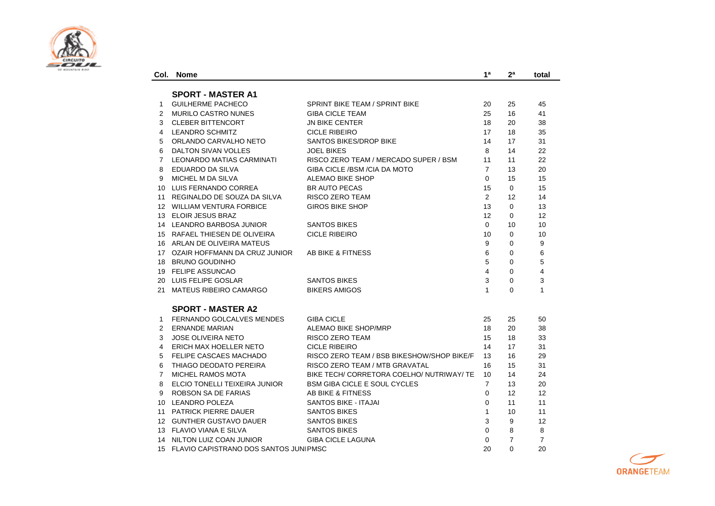

| Col.           | <b>Nome</b>                           |                                            | 1ª             | 2 <sup>a</sup> | total                   |
|----------------|---------------------------------------|--------------------------------------------|----------------|----------------|-------------------------|
|                | <b>SPORT - MASTER A1</b>              |                                            |                |                |                         |
| $\mathbf{1}$   | <b>GUILHERME PACHECO</b>              | SPRINT BIKE TEAM / SPRINT BIKE             | 20             | 25             | 45                      |
| $\overline{2}$ | <b>MURILO CASTRO NUNES</b>            | <b>GIBA CICLE TEAM</b>                     | 25             | 16             | 41                      |
| 3              | <b>CLEBER BITTENCORT</b>              | <b>JN BIKE CENTER</b>                      | 18             | 20             | 38                      |
| 4              | <b>LEANDRO SCHMITZ</b>                | <b>CICLE RIBEIRO</b>                       | 17             | 18             | 35                      |
| 5              | ORLANDO CARVALHO NETO                 | <b>SANTOS BIKES/DROP BIKE</b>              | 14             | 17             | 31                      |
| 6              | DALTON SIVAN VOLLES                   | <b>JOEL BIKES</b>                          | 8              | 14             | 22                      |
| $\overline{7}$ | LEONARDO MATIAS CARMINATI             | RISCO ZERO TEAM / MERCADO SUPER / BSM      | 11             | 11             | 22                      |
| 8              | EDUARDO DA SILVA                      | GIBA CICLE / BSM / CIA DA MOTO             | $\overline{7}$ | 13             | 20                      |
| 9              | MICHEL M DA SILVA                     | <b>ALEMAO BIKE SHOP</b>                    | $\Omega$       | 15             | 15                      |
|                | 10 LUIS FERNANDO CORREA               | <b>BR AUTO PECAS</b>                       | 15             | $\Omega$       | 15                      |
|                | 11 REGINALDO DE SOUZA DA SILVA        | <b>RISCO ZERO TEAM</b>                     | 2              | 12             | 14                      |
|                | 12 WILLIAM VENTURA FORBICE            | <b>GIROS BIKE SHOP</b>                     | 13             | $\mathbf 0$    | 13                      |
|                | 13 ELOIR JESUS BRAZ                   |                                            | 12             | $\Omega$       | 12                      |
|                | 14 LEANDRO BARBOSA JUNIOR             | <b>SANTOS BIKES</b>                        | $\Omega$       | 10             | 10                      |
|                | 15 RAFAEL THIESEN DE OLIVEIRA         | <b>CICLE RIBEIRO</b>                       | 10             | $\mathbf 0$    | 10                      |
|                | 16 ARLAN DE OLIVEIRA MATEUS           |                                            | 9              | $\Omega$       | 9                       |
|                | 17 OZAIR HOFFMANN DA CRUZ JUNIOR      | AB BIKE & FITNESS                          | 6              | $\Omega$       | 6                       |
|                | 18 BRUNO GOUDINHO                     |                                            | 5              | $\Omega$       | 5                       |
|                | 19 FELIPE ASSUNCAO                    |                                            | $\overline{4}$ | $\Omega$       | $\overline{\mathbf{4}}$ |
|                | 20 LUIS FELIPE GOSLAR                 | <b>SANTOS BIKES</b>                        | 3              | $\Omega$       | 3                       |
|                | 21 MATEUS RIBEIRO CAMARGO             | <b>BIKERS AMIGOS</b>                       | $\mathbf{1}$   | $\Omega$       | $\mathbf{1}$            |
|                | <b>SPORT - MASTER A2</b>              |                                            |                |                |                         |
| $\mathbf{1}$   | <b>FERNANDO GOLCALVES MENDES</b>      | <b>GIBA CICLE</b>                          | 25             | 25             | 50                      |
| $\mathbf{2}$   | <b>ERNANDE MARIAN</b>                 | ALEMAO BIKE SHOP/MRP                       | 18             | 20             | 38                      |
| 3              | <b>JOSE OLIVEIRA NETO</b>             | RISCO ZERO TEAM                            | 15             | 18             | 33                      |
| 4              | ERICH MAX HOELLER NETO                | <b>CICLE RIBEIRO</b>                       | 14             | 17             | 31                      |
| 5              | FELIPE CASCAES MACHADO                | RISCO ZERO TEAM / BSB BIKESHOW/SHOP BIKE/F | 13             | 16             | 29                      |
| 6              | THIAGO DEODATO PEREIRA                | RISCO ZERO TEAM / MTB GRAVATAL             | 16             | 15             | 31                      |
| $\overline{7}$ | <b>MICHEL RAMOS MOTA</b>              | BIKE TECH/ CORRETORA COELHO/ NUTRIWAY/ TE  | 10             | 14             | 24                      |
| 8              | ELCIO TONELLI TEIXEIRA JUNIOR         | <b>BSM GIBA CICLE E SOUL CYCLES</b>        | $\overline{7}$ | 13             | 20                      |
| 9              | ROBSON SA DE FARIAS                   | AB BIKE & FITNESS                          | $\Omega$       | 12             | 12                      |
|                | 10 LEANDRO POLEZA                     | SANTOS BIKE - ITAJAI                       | $\Omega$       | 11             | 11                      |
|                | 11 PATRICK PIERRE DAUER               | <b>SANTOS BIKES</b>                        | $\mathbf{1}$   | 10             | 11                      |
|                | 12 GUNTHER GUSTAVO DAUER              | <b>SANTOS BIKES</b>                        | 3              | 9              | 12                      |
|                | 13 FLAVIO VIANA E SILVA               | <b>SANTOS BIKES</b>                        | $\Omega$       | 8              | 8                       |
|                | 14 NILTON LUIZ COAN JUNIOR            | <b>GIBA CICLE LAGUNA</b>                   | $\Omega$       | $\overline{7}$ | $\overline{7}$          |
| 15             | FLAVIO CAPISTRANO DOS SANTOS JUNIPMSC |                                            | 20             | $\Omega$       | 20                      |

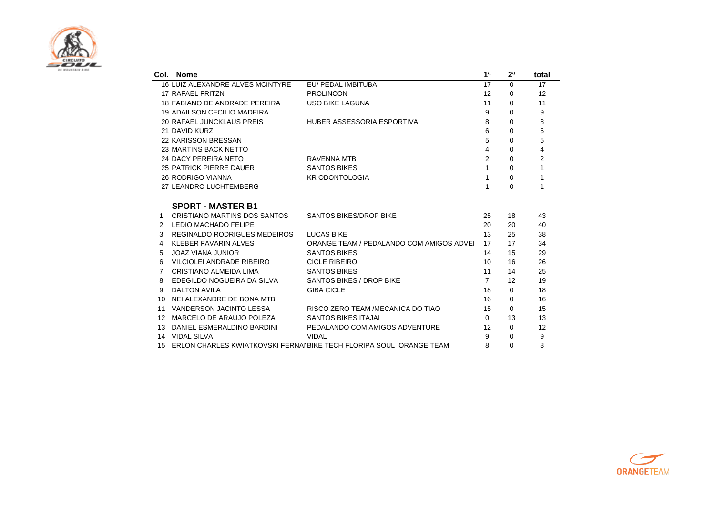

|                 | Col. Nome                          |                                                                        | 1 <sup>a</sup> | 2 <sup>a</sup> | total          |
|-----------------|------------------------------------|------------------------------------------------------------------------|----------------|----------------|----------------|
|                 | 16 LUIZ ALEXANDRE ALVES MCINTYRE   | EU/ PEDAL IMBITUBA                                                     | 17             | $\Omega$       | 17             |
|                 | 17 RAFAEL FRITZN                   | <b>PROLINCON</b>                                                       | 12             | 0              | 12             |
|                 | 18 FABIANO DE ANDRADE PEREIRA      | <b>USO BIKE LAGUNA</b>                                                 | 11             | 0              | 11             |
|                 | <b>19 ADAILSON CECILIO MADEIRA</b> |                                                                        | 9              | $\Omega$       | 9              |
|                 | 20 RAFAEL JUNCKLAUS PREIS          | HUBER ASSESSORIA ESPORTIVA                                             | 8              | 0              | 8              |
|                 | 21 DAVID KURZ                      |                                                                        | 6              | 0              | 6              |
|                 | 22 KARISSON BRESSAN                |                                                                        | 5              | $\Omega$       | 5              |
|                 | 23 MARTINS BACK NETTO              |                                                                        | 4              | $\Omega$       | 4              |
|                 | 24 DACY PEREIRA NETO               | RAVENNA MTB                                                            | $\overline{2}$ | 0              | $\overline{2}$ |
|                 | 25 PATRICK PIERRE DAUER            | <b>SANTOS BIKES</b>                                                    | 1              | 0              | 1              |
|                 | <b>26 RODRIGO VIANNA</b>           | <b>KR ODONTOLOGIA</b>                                                  | 1              | 0              | 1              |
|                 | 27 LEANDRO LUCHTEMBERG             |                                                                        | 1              | 0              | 1              |
|                 | <b>SPORT - MASTER B1</b>           |                                                                        |                |                |                |
| 1               | CRISTIANO MARTINS DOS SANTOS       | <b>SANTOS BIKES/DROP BIKE</b>                                          | 25             | 18             | 43             |
| 2               | <b>LEDIO MACHADO FELIPE</b>        |                                                                        | 20             | 20             | 40             |
| 3               | REGINALDO RODRIGUES MEDEIROS       | <b>LUCAS BIKE</b>                                                      | 13             | 25             | 38             |
| 4               | KLEBER FAVARIN ALVES               | ORANGE TEAM / PEDALANDO COM AMIGOS ADVEI                               | 17             | 17             | 34             |
| 5               | <b>JOAZ VIANA JUNIOR</b>           | <b>SANTOS BIKES</b>                                                    | 14             | 15             | 29             |
| 6               | VILCIOLEI ANDRADE RIBEIRO          | <b>CICLE RIBEIRO</b>                                                   | 10             | 16             | 26             |
| 7               | CRISTIANO ALMEIDA LIMA             | <b>SANTOS BIKES</b>                                                    | 11             | 14             | 25             |
| 8               | EDEGILDO NOGUEIRA DA SILVA         | SANTOS BIKES / DROP BIKE                                               | $\overline{7}$ | 12             | 19             |
| 9               | <b>DALTON AVILA</b>                | <b>GIBA CICLE</b>                                                      | 18             | 0              | 18             |
| 10              | NEI ALEXANDRE DE BONA MTB          |                                                                        | 16             | $\Omega$       | 16             |
| 11              | VANDERSON JACINTO LESSA            | RISCO ZERO TEAM / MECANICA DO TIAO                                     | 15             | $\Omega$       | 15             |
| 12 <sup>°</sup> | MARCELO DE ARAUJO POLEZA           | <b>SANTOS BIKES ITAJAI</b>                                             | $\Omega$       | 13             | 13             |
|                 | DANIEL ESMERALDINO BARDINI         | PEDALANDO COM AMIGOS ADVENTURE                                         | 12             | 0              | 12             |
|                 | 14 VIDAL SILVA                     | <b>VIDAL</b>                                                           | 9              | 0              | 9              |
|                 |                                    | 15 ERLON CHARLES KWIATKOVSKI FERNAI BIKE TECH FLORIPA SOUL ORANGE TEAM | 8              | 0              | 8              |